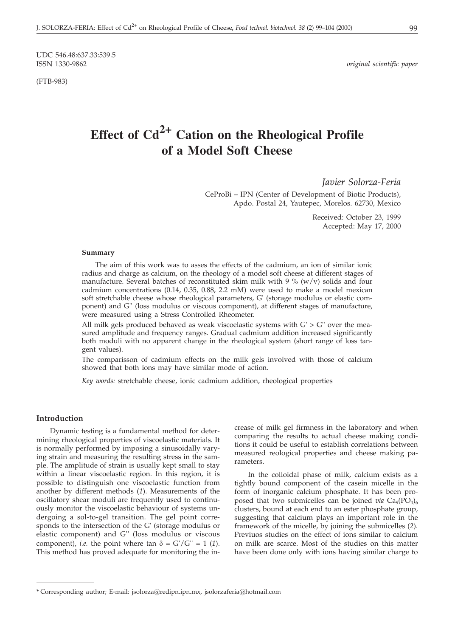UDC 546.48:637.33:539.5<br>ISSN 1330-9862

(FTB-983)

 $original$  scientific paper

# **Effect of Cd2+ Cation on the Rheological Profile of a Model Soft Cheese**

*Javier Solorza-Feria*

CeProBi – IPN (Center of Development of Biotic Products), Apdo. Postal 24, Yautepec, Morelos. 62730, Mexico

> Received: October 23, 1999 Accepted: May 17, 2000

#### **Summary**

The aim of this work was to asses the effects of the cadmium, an ion of similar ionic radius and charge as calcium, on the rheology of a model soft cheese at different stages of manufacture. Several batches of reconstituted skim milk with 9  $\%$  (w/v) solids and four cadmium concentrations (0.14, 0.35, 0.88, 2.2 mM) were used to make a model mexican soft stretchable cheese whose rheological parameters, G' (storage modulus or elastic component) and G'' (loss modulus or viscous component), at different stages of manufacture, were measured using a Stress Controlled Rheometer.

All milk gels produced behaved as weak viscoelastic systems with  $G' > G''$  over the measured amplitude and frequency ranges. Gradual cadmium addition increased significantly both moduli with no apparent change in the rheological system (short range of loss tangent values).

The comparisson of cadmium effects on the milk gels involved with those of calcium showed that both ions may have similar mode of action.

*Key words:* stretchable cheese, ionic cadmium addition, rheological properties

# **Introduction**

Dynamic testing is a fundamental method for determining rheological properties of viscoelastic materials. It is normally performed by imposing a sinusoidally varying strain and measuring the resulting stress in the sample. The amplitude of strain is usually kept small to stay within a linear viscoelastic region. In this region, it is possible to distinguish one viscoelastic function from another by different methods (*1*). Measurements of the oscillatory shear moduli are frequently used to continuously monitor the viscoelastic behaviour of systems undergoing a sol-to-gel transition. The gel point corresponds to the intersection of the G' (storage modulus or elastic component) and G'' (loss modulus or viscous component), *i.e.* the point where tan  $\delta = G'/G'' = 1$  (1). This method has proved adequate for monitoring the increase of milk gel firmness in the laboratory and when comparing the results to actual cheese making conditions it could be useful to establish correlations between measured reological properties and cheese making parameters.

In the colloidal phase of milk, calcium exists as a tightly bound component of the casein micelle in the form of inorganic calcium phosphate. It has been proposed that two submicelles can be joined *via*  $Ca_9(PO_4)_6$ clusters, bound at each end to an ester phosphate group, suggesting that calcium plays an important role in the framework of the micelle, by joining the submicelles (*2*). Previuos studies on the effect of ions similar to calcium on milk are scarce. Most of the studies on this matter have been done only with ions having similar charge to

<sup>\*</sup> Corresponding author; E-mail: jsolorza@redipn.ipn.mx, jsolorzaferia@hotmail.com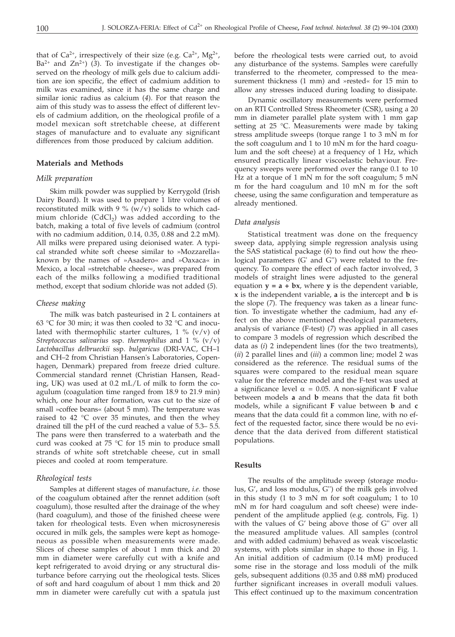that of  $Ca^{2+}$ , irrespectively of their size (e.g.  $Ca^{2+}$ ,  $Mg^{2+}$ ,  $Ba^{2+}$  and  $Zn^{2+}$ ) (3). To investigate if the changes observed on the rheology of milk gels due to calcium addition are ion specific, the effect of cadmium addition to milk was examined, since it has the same charge and similar ionic radius as calcium (*4*). For that reason the aim of this study was to assess the effect of different levels of cadmium addition, on the rheological profile of a model mexican soft stretchable cheese, at different stages of manufacture and to evaluate any significant differences from those produced by calcium addition.

# **Materials and Methods**

#### *Milk preparation*

Skim milk powder was supplied by Kerrygold (Irish Dairy Board). It was used to prepare 1 litre volumes of reconstituted milk with 9 %  $(w/v)$  solids to which cadmium chloride  $(CdCl<sub>2</sub>)$  was added according to the batch, making a total of five levels of cadmium (control with no cadmium addition, 0.14, 0.35, 0.88 and 2.2 mM). All milks were prepared using deionised water. A typical stranded white soft cheese similar to »Mozzarella« known by the names of »Asadero« and »Oaxaca« in Mexico, a local »stretchable cheese«, was prepared from each of the milks following a modified traditional method, except that sodium chloride was not added (*5*).

#### *Cheese making*

The milk was batch pasteurised in 2 L containers at 63 °C for 30 min; it was then cooled to 32 °C and inoculated with thermophilic starter cultures,  $1\%$  (v/v) of *Streptococcus salivarius* ssp. *thermophilus* and 1 % (v/v) *Lactobacillus delbrueckii* ssp. *bulgaricus* (DRI-VAC, CH–1 and CH–2 from Christian Hansen's Laboratories, Copenhagen, Denmark) prepared from freeze dried culture. Commercial standard rennet (Christian Hansen, Reading, UK) was used at 0.2 mL/L of milk to form the coagulum (coagulation time ranged from 18.9 to 21.9 min) which, one hour after formation, was cut to the size of small »coffee beans« (about 5 mm). The temperature was raised to 42 °C over 35 minutes, and then the whey drained till the pH of the curd reached a value of 5.3– 5.5. The pans were then transferred to a waterbath and the curd was cooked at 75 °C for 15 min to produce small strands of white soft stretchable cheese, cut in small pieces and cooled at room temperature.

# *Rheological tests*

Samples at different stages of manufacture, *i.e.* those of the coagulum obtained after the rennet addition (soft coagulum), those resulted after the drainage of the whey (hard coagulum), and those of the finished cheese were taken for rheological tests. Even when microsyneresis occured in milk gels, the samples were kept as homogeneous as possible when measurements were made. Slices of cheese samples of about 1 mm thick and 20 mm in diameter were carefully cut with a knife and kept refrigerated to avoid drying or any structural disturbance before carrying out the rheological tests. Slices of soft and hard coagulum of about 1 mm thick and 20 mm in diameter were carefully cut with a spatula just before the rheological tests were carried out, to avoid any disturbance of the systems. Samples were carefully transferred to the rheometer, compressed to the measurement thickness (1 mm) and »rested« for 15 min to allow any stresses induced during loading to dissipate.

Dynamic oscillatory measurements were performed on an RTI Controlled Stress Rheometer (CSR), using a 20 mm in diameter parallel plate system with 1 mm gap setting at 25 °C. Measurements were made by taking stress amplitude sweeps (torque range 1 to 3 mN m for the soft coagulum and  $1$  to  $10$  mN m for the hard coagulum and the soft cheese) at a frequency of 1 Hz, which ensured practically linear viscoelastic behaviour. Frequency sweeps were performed over the range 0.1 to 10 Hz at a torque of 1 mN m for the soft coagulum; 5 mN m for the hard coagulum and 10 mN m for the soft cheese, using the same configuration and temperature as already mentioned.

#### *Data analysis*

Statistical treatment was done on the frequency sweep data, applying simple regression analysis using the SAS statistical package (*6*) to find out how the rheological parameters (G' and G'') were related to the frequency. To compare the effect of each factor involved, 3 models of straight lines were adjusted to the general equation  $y = a + bx$ , where **y** is the dependent variable, **x** is the independent variable, **a** is the intercept and **b** is the slope (*7*). The frequency was taken as a linear function. To investigate whether the cadmium, had any effect on the above mentioned rheological parameters, analysis of variance (F-test) (*7*) was applied in all cases to compare 3 models of regression which described the data as (*i*) 2 independent lines (for the two treatments), (*ii*) 2 parallel lines and (*iii*) a common line; model 2 was considered as the reference. The residual sums of the squares were compared to the residual mean square value for the reference model and the F-test was used at a significance level  $\alpha = 0.05$ . A non-significant **F** value between models **a** and **b** means that the data fit both models, while a significant **F** value between **b** and **c** means that the data could fit a common line, with no effect of the requested factor, since there would be no evidence that the data derived from different statistical populations.

# **Results**

The results of the amplitude sweep (storage modulus, G', and loss modulus, G'') of the milk gels involved in this study (1 to 3 mN m for soft coagulum; 1 to 10 mN m for hard coagulum and soft cheese) were independent of the amplitude applied (e.g. controls, Fig. 1) with the values of G' being above those of G'' over all the measured amplitude values. All samples (control and with added cadmium) behaved as weak viscoelastic systems, with plots similar in shape to those in Fig. 1. An initial addition of cadmium (0.14 mM) produced some rise in the storage and loss moduli of the milk gels, subsequent additions (0.35 and 0.88 mM) produced further significant increases in overall moduli values. This effect continued up to the maximum concentration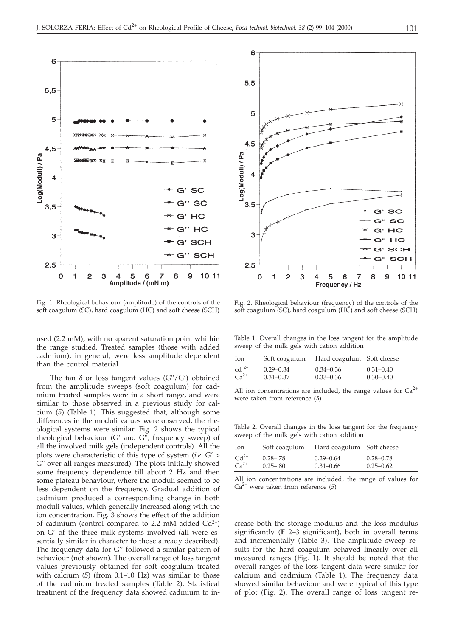

Fig. 1. Rheological behaviour (amplitude) of the controls of the soft coagulum (SC), hard coagulum (HC) and soft cheese (SCH)

used (2.2 mM), with no aparent saturation point whithin the range studied. Treated samples (those with added cadmium), in general, were less amplitude dependent than the control material.

The tan  $\delta$  or loss tangent values (G"/G') obtained from the amplitude sweeps (soft coagulum) for cadmium treated samples were in a short range, and were similar to those observed in a previous study for calcium (*5*) (Table 1). This suggested that, although some differences in the moduli values were observed, the rheological systems were similar. Fig. 2 shows the typical rheological behaviour (G' and G''; frequency sweep) of all the involved milk gels (independent controls). All the plots were characteristic of this type of system (*i.e*. G' > G'' over all ranges measured). The plots initially showed some frequency dependence till about 2 Hz and then some plateau behaviour, where the moduli seemed to be less dependent on the frequency. Gradual addition of cadmium produced a corresponding change in both moduli values, which generally increased along with the ion concentration. Fig. 3 shows the effect of the addition of cadmium (control compared to 2.2 mM added  $Cd^{2+}$ ) on G' of the three milk systems involved (all were essentially similar in character to those already described). The frequency data for G'' followed a similar pattern of behaviour (not shown). The overall range of loss tangent values previously obtained for soft coagulum treated with calcium (*5*) (from 0.1–10 Hz) was similar to those of the cadmium treated samples (Table 2). Statistical treatment of the frequency data showed cadmium to in-



Fig. 2. Rheological behaviour (frequency) of the controls of the soft coagulum (SC), hard coagulum (HC) and soft cheese (SCH)

Table 1. Overall changes in the loss tangent for the amplitude sweep of the milk gels with cation addition

| Ion                         | Soft coagulum | Hard coagulum Soft cheese |               |
|-----------------------------|---------------|---------------------------|---------------|
| $\mathrm{cd}$ <sup>2+</sup> | $0.29 - 0.34$ | $0.34 - 0.36$             | $0.31 - 0.40$ |
| $Ca^{2+}$                   | $0.31 - 0.37$ | $0.33 - 0.36$             | $0.30 - 0.40$ |

All ion concentrations are included, the range values for  $Ca^{2+}$ were taken from reference (*5*)

Table 2. Overall changes in the loss tangent for the frequency sweep of the milk gels with cation addition

| Ion       | Soft coagulum | Hard coagulum Soft cheese |               |
|-----------|---------------|---------------------------|---------------|
| $Cd^{2+}$ | $0.28 - .78$  | $0.29 - 0.64$             | $0.28 - 0.78$ |
| $Ca2+$    | $0.25 - 0.80$ | $0.31 - 0.66$             | $0.25 - 0.62$ |

All ion concentrations are included, the range of values for Ca2+ were taken from reference (*5*)

crease both the storage modulus and the loss modulus significantly (**F** 2–3 significant), both in overall terms and incrementally (Table 3). The amplitude sweep results for the hard coagulum behaved linearly over all measured ranges (Fig. 1). It should be noted that the overall ranges of the loss tangent data were similar for calcium and cadmium (Table 1). The frequency data showed similar behaviour and were typical of this type of plot (Fig. 2). The overall range of loss tangent re-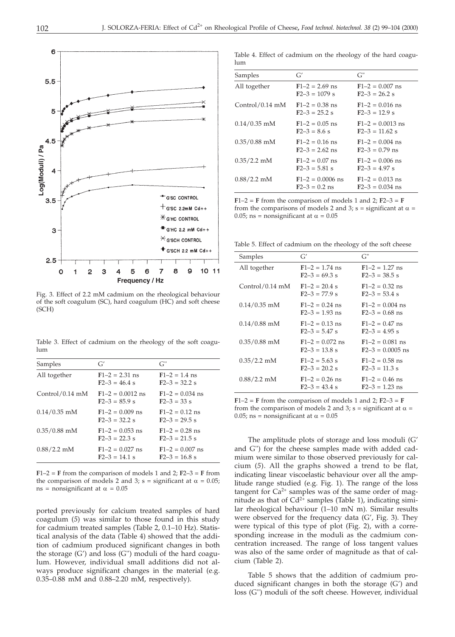

Fig. 3. Effect of 2.2 mM cadmium on the rheological behaviour of the soft coagulum (SC), hard coagulum (HC) and soft cheese (SCH)

Table 3. Effect of cadmium on the rheology of the soft coagulum

| Samples           | G'                                        | $G^"$                                  |
|-------------------|-------------------------------------------|----------------------------------------|
| All together      | $F1-2 = 2.31$ ns<br>$F2-3 = 46.4$ s       | $F1 - 2 = 1.4$ ns<br>$F2 - 3 = 32.2$ s |
| $Control/0.14$ mM | $F1 - 2 = 0.0012$ ns<br>$F2 - 3 = 85.9$ s | $F1 - 2 = 0.034$ ns<br>$F2 - 3 = 33$ s |
| $0.14/0.35$ mM    | $F1-2 = 0.009$ ns<br>$F2 - 3 = 32.2$ s    | $F1-2 = 0.12$ ns<br>$F2 - 3 = 29.5$ s  |
| $0.35/0.88$ mM    | $F1 - 2 = 0.053$ ns<br>$F2 - 3 = 22.3$ s  | $F1-2 = 0.28$ ns<br>$F2-3 = 21.5$ s    |
| $0.88/2.2$ mM     | $F1 - 2 = 0.027$ ns<br>$F2-3 = 14.1$ s    | $F1-2 = 0.007$ ns<br>$F2 - 3 = 16.8$ s |

 $F1-2 = F$  from the comparison of models 1 and 2;  $F2-3 = F$  from the comparison of models 2 and 3;  $s =$  significant at  $\alpha = 0.05$ ;  $ns = nonsignificant$  at  $\alpha = 0.05$ 

ported previously for calcium treated samples of hard coagulum (*5*) was similar to those found in this study for cadmium treated samples (Table 2, 0.1–10 Hz). Statistical analysis of the data (Table 4) showed that the addition of cadmium produced significant changes in both the storage (G') and loss (G'') moduli of the hard coagulum. However, individual small additions did not always produce significant changes in the material (e.g. 0.35–0.88 mM and 0.88–2.20 mM, respectively).

| lum     |    | Table 4. Effect of cadmium on the rheology of the hard coagu- |
|---------|----|---------------------------------------------------------------|
| Samples | G' |                                                               |
|         |    |                                                               |

| Samples           | G'                                      | $G^"$                                    |
|-------------------|-----------------------------------------|------------------------------------------|
| All together      | $F1 - 2 = 2.69$ ns<br>$F2 - 3 = 1079$ s | $F1-2 = 0.007$ ns<br>$F2 - 3 = 26.2$ s   |
| $Control/0.14$ mM | $F1 - 2 = 0.38$ ns<br>$F2 - 3 = 25.2$ s | $F1-2 = 0.016$ ns<br>$F2 - 3 = 12.9$ s   |
| $0.14/0.35$ mM    | $F1-2 = 0.05$ ns<br>$F2 - 3 = 8.6$ s    | $F1-2 = 0.0013$ ns<br>$F2-3 = 11.62$ s   |
| $0.35/0.88$ mM    | $F1-2 = 0.16$ ns<br>$F2 - 3 = 2.62$ ns  | $F1-2 = 0.004$ ns<br>$F2-3 = 0.79$ ns    |
| $0.35/2.2$ mM     | $F1-2 = 0.07$ ns<br>$F2-3 = 5.81$ s     | $F1-2 = 0.006$ ns<br>$F2 - 3 = 4.97$ s   |
| $0.88/2.2$ mM     | $F1-2 = 0.0006$ ns<br>$F2 - 3 = 0.2$ ns | $F1-2 = 0.013$ ns<br>$F2 - 3 = 0.034$ ns |

 $F1-2 = F$  from the comparison of models 1 and 2;  $F2-3 = F$ from the comparisons of models 2 and 3; s = significant at  $\alpha$  =  $0.05$ ; ns = nonsignificant at  $\alpha = 0.05$ 

Table 5. Effect of cadmium on the rheology of the soft cheese

| Samples           | G'                                     | $G^"$                                     |
|-------------------|----------------------------------------|-------------------------------------------|
| All together      | $F1-2 = 1.74$ ns<br>$F2 - 3 = 69.3$ s  | $F1 - 2 = 1.27$ ns<br>$F2 - 3 = 38.5$ s   |
| $Control/0.14$ mM | $F1-2 = 20.4$ s<br>$F2 - 3 = 77.9$ s   | $F1-2 = 0.32$ ns<br>$F2-3 = 53.4$ s       |
| $0.14/0.35$ mM    | $F1-2 = 0.24$ ns<br>$F2 - 3 = 1.93$ ns | $F1 - 2 = 0.004$ ns<br>$F2-3 = 0.68$ ns   |
| $0.14/0.88$ mM    | $F1-2 = 0.13$ ns<br>$F2 - 3 = 5.47$ s  | $F1-2 = 0.47$ ns<br>$F2 - 3 = 4.95$ s     |
| $0.35/0.88$ mM    | $F1-2 = 0.072$ ns<br>$F2 - 3 = 13.8$ s | $F1-2 = 0.081$ ns<br>$F2 - 3 = 0.0005$ ns |
| $0.35/2.2$ mM     | $F1 - 2 = 5.63$ s<br>$F2 - 3 = 20.2$ s | $F1-2 = 0.58$ ns<br>$F2 - 3 = 11.3$ s     |
| $0.88/2.2$ mM     | $F1-2 = 0.26$ ns<br>$F2-3 = 43.4$ s    | $F1-2 = 0.46$ ns<br>$F2 - 3 = 1.23$ ns    |

 $F1-2 = F$  from the comparison of models 1 and 2;  $F2-3 = F$ from the comparison of models 2 and 3; s = significant at  $\alpha$  =  $0.05$ ; ns = nonsignificant at  $\alpha = 0.05$ 

The amplitude plots of storage and loss moduli (G' and G'') for the cheese samples made with added cadmium were similar to those observed previously for calcium (*5*). All the graphs showed a trend to be flat, indicating linear viscoelastic behaviour over all the amplitude range studied (e.g. Fig. 1). The range of the loss tangent for  $Ca^{2+}$  samples was of the same order of magnitude as that of  $Cd^{2+}$  samples (Table 1), indicating similar rheological behaviour (1–10 mN m). Similar results were observed for the frequency data (G', Fig. 3). They were typical of this type of plot (Fig. 2), with a corresponding increase in the moduli as the cadmium concentration increased. The range of loss tangent values was also of the same order of magnitude as that of calcium (Table 2).

Table 5 shows that the addition of cadmium produced significant changes in both the storage (G') and loss (G'') moduli of the soft cheese. However, individual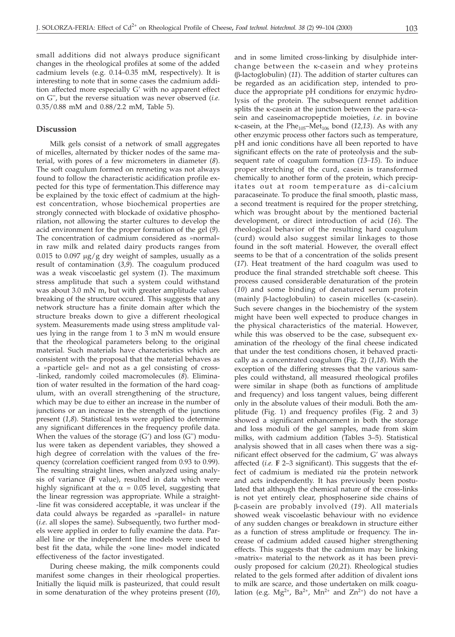small additions did not always produce significant changes in the rheological profiles at some of the added cadmium levels (e.g. 0.14–0.35 mM, respectively). It is interesting to note that in some cases the cadmium addition affected more especially G' with no apparent effect on G'', but the reverse situation was never observed (*i.e.* 0.35/0.88 mM and 0.88/2.2 mM, Table 5).

#### **Discussion**

Milk gels consist of a network of small aggregates of micelles, alternated by thicker nodes of the same material, with pores of a few micrometers in diameter (*8*). The soft coagulum formed on renneting was not always found to follow the characteristic acidification profile expected for this type of fermentation.This difference may be explained by the toxic effect of cadmium at the highest concentration, whose biochemical properties are strongly connected with blockade of oxidative phosphorilation, not allowing the starter cultures to develop the acid environment for the proper formation of the gel (*9*). The concentration of cadmium considered as »normal« in raw milk and related dairy products ranges from 0.015 to 0.097  $\mu$ g/g dry weight of samples, usually as a result of contamination (*3,9*). The coagulum produced was a weak viscoelastic gel system (*1*). The maximum stress amplitude that such a system could withstand was about 3.0 mN m, but with greater amplitude values breaking of the structure occured. This suggests that any network structure has a finite domain after which the structure breaks down to give a different rheological system. Measurements made using stress amplitude values lying in the range from 1 to 3 mN m would ensure that the rheological parameters belong to the original material. Such materials have characteristics which are consistent with the proposal that the material behaves as a »particle gel« and not as a gel consisting of cross- -linked, randomly coiled macromolecules (*8*). Elimination of water resulted in the formation of the hard coagulum, with an overall strengthening of the structure, which may be due to either an increase in the number of junctions or an increase in the strength of the junctions present (*1,8*). Statistical tests were applied to determine any significant differences in the frequency profile data. When the values of the storage  $(G')$  and loss  $(G'')$  modulus were taken as dependent variables, they showed a high degree of correlation with the values of the frequency (correlation coefficient ranged from 0.93 to 0.99). The resulting straight lines, when analyzed using analysis of variance (**F** value), resulted in data which were highly significant at the  $\alpha$  = 0.05 level, suggesting that the linear regression was appropriate. While a straight- -line fit was considered acceptable, it was unclear if the data could always be regarded as »parallel« in nature (*i.e*. all slopes the same). Subsequently, two further models were applied in order to fully examine the data. Parallel line or the independent line models were used to best fit the data, while the »one line« model indicated effectiveness of the factor investigated.

During cheese making, the milk components could manifest some changes in their rheological properties. Initially the liquid milk is pasteurized, that could result in some denaturation of the whey proteins present (*10*),

and in some limited cross-linking by disulphide interchange between the  $\kappa$ -casein and whey proteins ( $\beta$ -lactoglobulin) (11). The addition of starter cultures can be regarded as an acidification step, intended to produce the appropriate pH conditions for enzymic hydrolysis of the protein. The subsequent rennet addition splits the  $\kappa$ -casein at the junction between the para- $\kappa$ -casein and caseinomacropeptide moieties, *i.e*. in bovine  $\kappa$ -casein, at the Phe<sub>105</sub>–Met<sub>106</sub> bond (12,13). As with any other enzymic process other factors such as temperature, pH and ionic conditions have all been reported to have significant effects on the rate of proteolysis and the subsequent rate of coagulum formation (*13–15*). To induce proper stretching of the curd, casein is transformed chemically to another form of the protein, which precipitates out at room temperature as di-calcium paracaseinate. To produce the final smooth, plastic mass, a second treatment is required for the proper stretching, which was brought about by the mentioned bacterial development, or direct introduction of acid (*16*). The rheological behavior of the resulting hard coagulum (curd) would also suggest similar linkages to those found in the soft material. However, the overall effect seems to be that of a concentration of the solids present (*17*). Heat treatment of the hard coagulm was used to produce the final stranded stretchable soft cheese. This process caused considerable denaturation of the protein (*10*) and some binding of denatured serum protein (mainly  $\beta$ -lactoglobulin) to casein micelles ( $\kappa$ -casein). Such severe changes in the biochemistry of the system might have been well expected to produce changes in the physical characteristics of the material. However, while this was observed to be the case, subsequent examination of the rheology of the final cheese indicated that under the test conditions chosen, it behaved practically as a concentrated coagulum (Fig. 2) (*1,18*). With the exception of the differing stresses that the various samples could withstand, all measured rheological profiles were similar in shape (both as functions of amplitude and frequency) and loss tangent values, being different only in the absolute values of their moduli. Both the amplitude (Fig. 1) and frequency profiles (Fig. 2 and 3) showed a significant enhancement in both the storage and loss moduli of the gel samples, made from skim milks, with cadmium addition (Tables 3–5). Statistical analysis showed that in all cases when there was a significant effect observed for the cadmium, G' was always affected (*i.e.* **F** 2–3 significant). This suggests that the effect of cadmium is mediated *via* the protein network and acts independently. It has previously been postulated that although the chemical nature of the cross-links is not yet entirely clear, phosphoserine side chains of -casein are probably involved (*19*). All materials showed weak viscoelastic behaviour with no evidence of any sudden changes or breakdown in structure either as a function of stress amplitude or frequency. The increase of cadmium added caused higher strengthening effects. This suggests that the cadmium may be linking »matrix« material to the network as it has been previously proposed for calcium (*20,21*). Rheological studies related to the gels formed after addition of divalent ions to milk are scarce, and those undertaken on milk coagulation (e.g.  $Mg^{2+}$ ,  $Ba^{2+}$ ,  $Mn^{2+}$  and  $Zn^{2+}$ ) do not have a